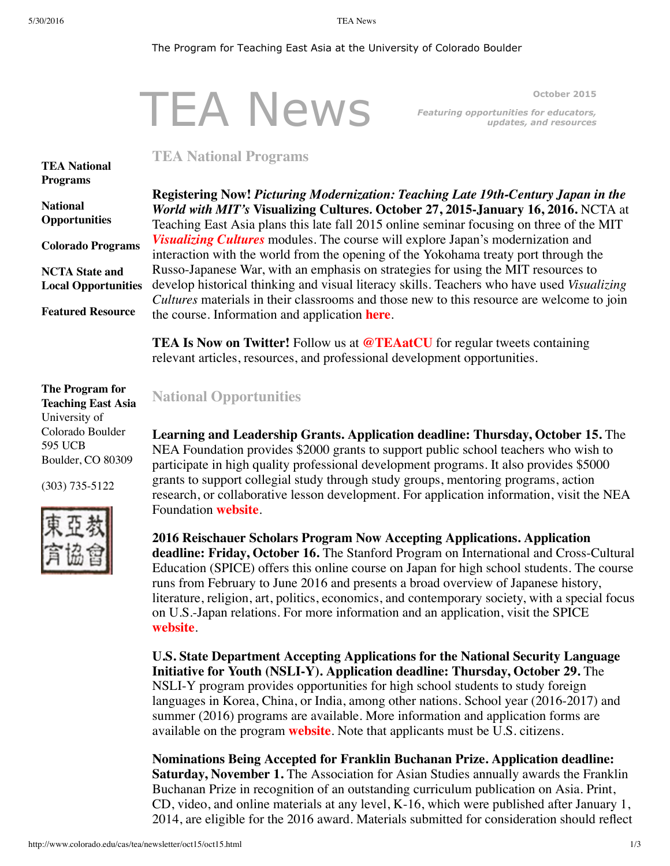#### The Program for Teaching East Asia at the University of Colorado Boulder

# TEA News

<span id="page-0-0"></span>**October 2015** *Featuring opportunities for educators, updates, and resources*

## **TEA National Programs**

**TEA National [Programs](#page-0-0)**

**National [Opportunities](#page-0-1)**

**Colorado [Programs](#page-1-0) NCTA State and Local [Opportunities](#page-2-0)**

**Featured [Resource](#page-2-1)**

**The Program for Teaching East Asia** University of Colorado Boulder 595 UCB Boulder, CO 80309

(303) 735-5122



**Registering Now!** *Picturing Modernization: Teaching Late 19th-Century Japan in the World with MIT's* **Visualizing Cultures***.* **October 27, 2015-January 16, 2016.** NCTA at Teaching East Asia plans this late fall 2015 online seminar focusing on three of the MIT *[Visualizing](http://ocw.mit.edu/ans7870/21f/21f.027/home/index.html) Cultures* modules. The course will explore Japan's modernization and interaction with the world from the opening of the Yokohama treaty port through the Russo-Japanese War, with an emphasis on strategies for using the MIT resources to develop historical thinking and visual literacy skills. Teachers who have used *Visualizing Cultures* materials in their classrooms and those new to this resource are welcome to join the course. Information and application **[here](http://www.colorado.edu/cas/tea/ncta/downloads/PicturingModJflyer.pdf)**.

**TEA Is Now on Twitter!** Follow us at **[@TEAatCU](https://twitter.com/TEAatCU)** for regular tweets containing relevant articles, resources, and professional development opportunities.

## <span id="page-0-1"></span>**National Opportunities**

**Learning and Leadership Grants. Application deadline: Thursday, October 15.** The NEA Foundation provides \$2000 grants to support public school teachers who wish to participate in high quality professional development programs. It also provides \$5000 grants to support collegial study through study groups, mentoring programs, action research, or collaborative lesson development. For application information, visit the NEA Foundation **[website](http://www.neafoundation.org/pages/learning-leadership-grants/)**.

**2016 Reischauer Scholars Program Now Accepting Applications. Application deadline: Friday, October 16.** The Stanford Program on International and Cross-Cultural Education (SPICE) offers this online course on Japan for high school students. The course runs from February to June 2016 and presents a broad overview of Japanese history, literature, religion, art, politics, economics, and contemporary society, with a special focus on U.S.-Japan relations. For more information and an application, visit the SPICE **[website](http://spice.fsi.stanford.edu/fellowships/reischauer_scholars_program/)**.

**U.S. State Department Accepting Applications for the National Security Language Initiative for Youth (NSLI-Y). Application deadline: Thursday, October 29.** The NSLI-Y program provides opportunities for high school students to study foreign languages in Korea, China, or India, among other nations. School year (2016-2017) and summer (2016) programs are available. More information and application forms are available on the program **[website](http://www.nsliforyouth.org/)**. Note that applicants must be U.S. citizens.

**Nominations Being Accepted for Franklin Buchanan Prize. Application deadline: Saturday, November 1.** The Association for Asian Studies annually awards the Franklin Buchanan Prize in recognition of an outstanding curriculum publication on Asia. Print, CD, video, and online materials at any level, K-16, which were published after January 1, 2014, are eligible for the 2016 award. Materials submitted for consideration should reflect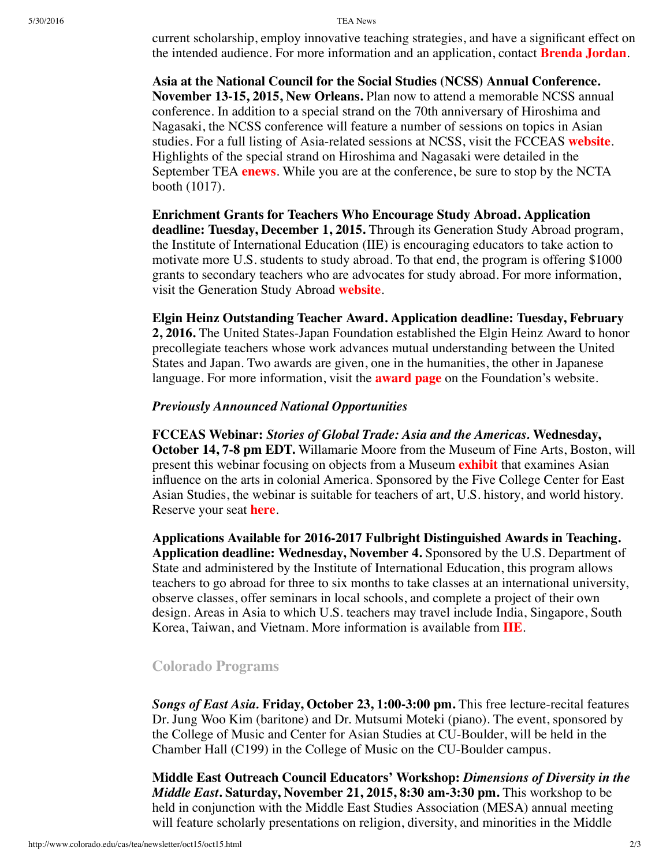current scholarship, employ innovative teaching strategies, and have a significant effect on the intended audience. For more information and an application, contact **[Brenda](mailto:jordanb@pitt.edu) Jordan**.

**Asia at the National Council for the Social Studies (NCSS) Annual Conference. November 13-15, 2015, New Orleans.** Plan now to attend a memorable NCSS annual conference. In addition to a special strand on the 70th anniversary of Hiroshima and Nagasaki, the NCSS conference will feature a number of sessions on topics in Asian studies. For a full listing of Asia-related sessions at NCSS, visit the FCCEAS **[website](https://www.fivecolleges.edu/fcceas/asia-at-ncss)**. Highlights of the special strand on Hiroshima and Nagasaki were detailed in the September TEA **[enews](http://www.colorado.edu/cas/tea/newsletter/sep15/sep15.html)**. While you are at the conference, be sure to stop by the NCTA booth (1017).

**Enrichment Grants for Teachers Who Encourage Study Abroad. Application deadline: Tuesday, December 1, 2015.** Through its Generation Study Abroad program, the Institute of International Education (IIE) is encouraging educators to take action to motivate more U.S. students to study abroad. To that end, the program is offering \$1000 grants to secondary teachers who are advocates for study abroad. For more information, visit the Generation Study Abroad **[website](http://www.iie.org/Programs/Generation-Study-Abroad)**.

**Elgin Heinz Outstanding Teacher Award. Application deadline: Tuesday, February**

**2, 2016.** The United States-Japan Foundation established the Elgin Heinz Award to honor precollegiate teachers whose work advances mutual understanding between the United States and Japan. Two awards are given, one in the humanities, the other in Japanese language. For more information, visit the **[award](http://us-jf.org/programs/elgin-heinz-teacher-awards/) page** on the Foundation's website.

#### *Previously Announced National Opportunities*

**FCCEAS Webinar:** *Stories of Global Trade: Asia and the Americas.* **Wednesday, October 14, 7-8 pm EDT.** Willamarie Moore from the Museum of Fine Arts, Boston, will present this webinar focusing on objects from a Museum **[exhibit](http://www.mfa.org/exhibitions/made-in-the-americas)** that examines Asian influence on the arts in colonial America. Sponsored by the Five College Center for East Asian Studies, the webinar is suitable for teachers of art, U.S. history, and world history. Reserve your seat **[here](https://attendee.gotowebinar.com/register/1341029621198506242)**.

**Applications Available for 2016-2017 Fulbright Distinguished Awards in Teaching. Application deadline: Wednesday, November 4.** Sponsored by the U.S. Department of State and administered by the Institute of International Education, this program allows teachers to go abroad for three to six months to take classes at an international university, observe classes, offer seminars in local schools, and complete a project of their own design. Areas in Asia to which U.S. teachers may travel include India, Singapore, South Korea, Taiwan, and Vietnam. More information is available from **[IIE](http://www.iie.org/en/Programs/Fulbright-Awards-In-Teaching)**.

## <span id="page-1-0"></span>**Colorado Programs**

*Songs of East Asia.* **Friday, October 23, 1:00-3:00 pm.** This free lecture-recital features Dr. Jung Woo Kim (baritone) and Dr. Mutsumi Moteki (piano). The event, sponsored by the College of Music and Center for Asian Studies at CU-Boulder, will be held in the Chamber Hall (C199) in the College of Music on the CU-Boulder campus.

**Middle East Outreach Council Educators' Workshop:** *Dimensions of Diversity in the Middle East***. Saturday, November 21, 2015, 8:30 am-3:30 pm.** This workshop to be held in conjunction with the Middle East Studies Association (MESA) annual meeting will feature scholarly presentations on religion, diversity, and minorities in the Middle